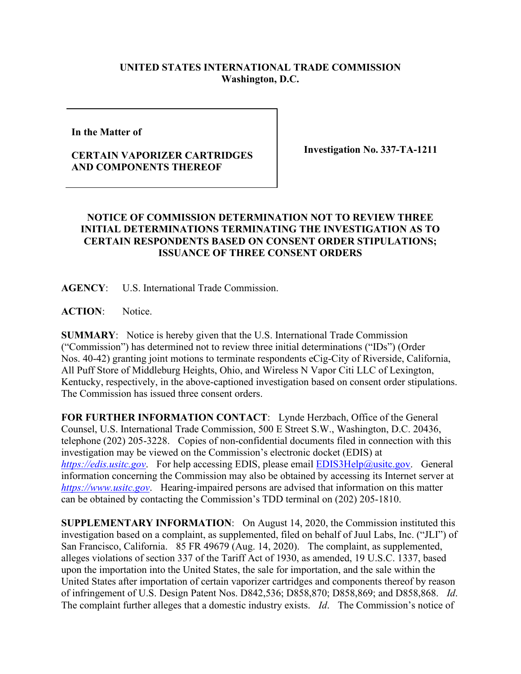## **UNITED STATES INTERNATIONAL TRADE COMMISSION Washington, D.C.**

**In the Matter of** 

## **CERTAIN VAPORIZER CARTRIDGES AND COMPONENTS THEREOF**

**Investigation No. 337-TA-1211**

## **NOTICE OF COMMISSION DETERMINATION NOT TO REVIEW THREE INITIAL DETERMINATIONS TERMINATING THE INVESTIGATION AS TO CERTAIN RESPONDENTS BASED ON CONSENT ORDER STIPULATIONS; ISSUANCE OF THREE CONSENT ORDERS**

**AGENCY**: U.S. International Trade Commission.

**ACTION**: Notice.

**SUMMARY**: Notice is hereby given that the U.S. International Trade Commission ("Commission") has determined not to review three initial determinations ("IDs") (Order Nos. 40-42) granting joint motions to terminate respondents eCig-City of Riverside, California, All Puff Store of Middleburg Heights, Ohio, and Wireless N Vapor Citi LLC of Lexington, Kentucky, respectively, in the above-captioned investigation based on consent order stipulations. The Commission has issued three consent orders.

**FOR FURTHER INFORMATION CONTACT**: Lynde Herzbach, Office of the General Counsel, U.S. International Trade Commission, 500 E Street S.W., Washington, D.C. 20436, telephone (202) 205-3228. Copies of non-confidential documents filed in connection with this investigation may be viewed on the Commission's electronic docket (EDIS) at *[https://edis.usitc.gov](https://edis.usitc.gov/).* For help accessing EDIS, please email [EDIS3Help@usitc.gov.](mailto:EDIS3Help@usitc.gov) General information concerning the Commission may also be obtained by accessing its Internet server at *[https://www.usitc.gov](https://www.usitc.gov/)*. Hearing-impaired persons are advised that information on this matter can be obtained by contacting the Commission's TDD terminal on (202) 205-1810.

**SUPPLEMENTARY INFORMATION**: On August 14, 2020, the Commission instituted this investigation based on a complaint, as supplemented, filed on behalf of Juul Labs, Inc. ("JLI") of San Francisco, California. 85 FR 49679 (Aug. 14, 2020). The complaint, as supplemented, alleges violations of section 337 of the Tariff Act of 1930, as amended, 19 U.S.C. 1337, based upon the importation into the United States, the sale for importation, and the sale within the United States after importation of certain vaporizer cartridges and components thereof by reason of infringement of U.S. Design Patent Nos. D842,536; D858,870; D858,869; and D858,868. *Id*. The complaint further alleges that a domestic industry exists. *Id*. The Commission's notice of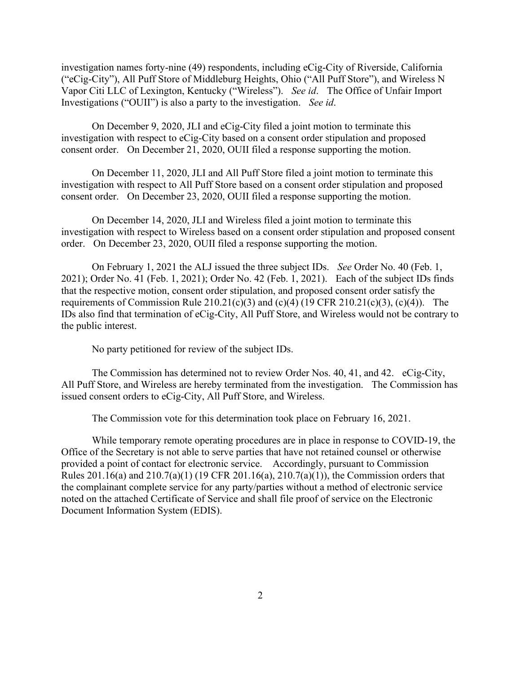investigation names forty-nine (49) respondents, including eCig-City of Riverside, California ("eCig-City"), All Puff Store of Middleburg Heights, Ohio ("All Puff Store"), and Wireless N Vapor Citi LLC of Lexington, Kentucky ("Wireless"). *See id*. The Office of Unfair Import Investigations ("OUII") is also a party to the investigation. *See id*.

On December 9, 2020, JLI and eCig-City filed a joint motion to terminate this investigation with respect to eCig-City based on a consent order stipulation and proposed consent order. On December 21, 2020, OUII filed a response supporting the motion.

On December 11, 2020, JLI and All Puff Store filed a joint motion to terminate this investigation with respect to All Puff Store based on a consent order stipulation and proposed consent order. On December 23, 2020, OUII filed a response supporting the motion.

On December 14, 2020, JLI and Wireless filed a joint motion to terminate this investigation with respect to Wireless based on a consent order stipulation and proposed consent order. On December 23, 2020, OUII filed a response supporting the motion.

On February 1, 2021 the ALJ issued the three subject IDs. *See* Order No. 40 (Feb. 1, 2021); Order No. 41 (Feb. 1, 2021); Order No. 42 (Feb. 1, 2021). Each of the subject IDs finds that the respective motion, consent order stipulation, and proposed consent order satisfy the requirements of Commission Rule 210.21(c)(3) and (c)(4) (19 CFR 210.21(c)(3), (c)(4)). The IDs also find that termination of eCig-City, All Puff Store, and Wireless would not be contrary to the public interest.

No party petitioned for review of the subject IDs.

The Commission has determined not to review Order Nos. 40, 41, and 42. eCig-City, All Puff Store, and Wireless are hereby terminated from the investigation. The Commission has issued consent orders to eCig-City, All Puff Store, and Wireless.

The Commission vote for this determination took place on February 16, 2021.

While temporary remote operating procedures are in place in response to COVID-19, the Office of the Secretary is not able to serve parties that have not retained counsel or otherwise provided a point of contact for electronic service. Accordingly, pursuant to Commission Rules 201.16(a) and 210.7(a)(1) (19 CFR 201.16(a), 210.7(a)(1)), the Commission orders that the complainant complete service for any party/parties without a method of electronic service noted on the attached Certificate of Service and shall file proof of service on the Electronic Document Information System (EDIS).